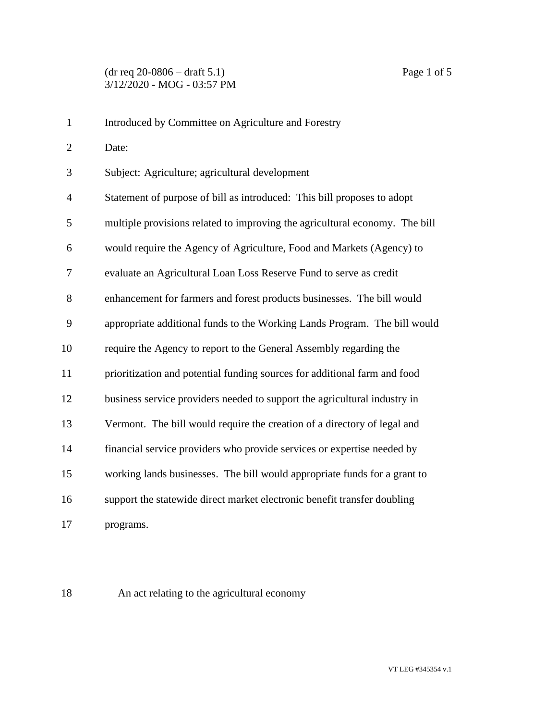| $\mathbf{1}$   | Introduced by Committee on Agriculture and Forestry                         |
|----------------|-----------------------------------------------------------------------------|
| $\overline{2}$ | Date:                                                                       |
| 3              | Subject: Agriculture; agricultural development                              |
| $\overline{4}$ | Statement of purpose of bill as introduced: This bill proposes to adopt     |
| 5              | multiple provisions related to improving the agricultural economy. The bill |
| 6              | would require the Agency of Agriculture, Food and Markets (Agency) to       |
| 7              | evaluate an Agricultural Loan Loss Reserve Fund to serve as credit          |
| 8              | enhancement for farmers and forest products businesses. The bill would      |
| 9              | appropriate additional funds to the Working Lands Program. The bill would   |
| 10             | require the Agency to report to the General Assembly regarding the          |
| 11             | prioritization and potential funding sources for additional farm and food   |
| 12             | business service providers needed to support the agricultural industry in   |
| 13             | Vermont. The bill would require the creation of a directory of legal and    |
| 14             | financial service providers who provide services or expertise needed by     |
| 15             | working lands businesses. The bill would appropriate funds for a grant to   |
| 16             | support the statewide direct market electronic benefit transfer doubling    |
| 17             | programs.                                                                   |

An act relating to the agricultural economy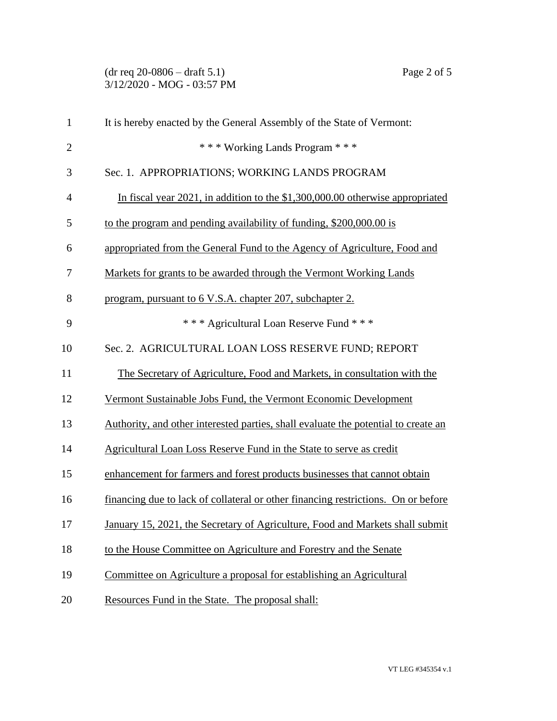(dr req 20-0806 – draft 5.1) Page 2 of 5 3/12/2020 - MOG - 03:57 PM

| $\mathbf{1}$   | It is hereby enacted by the General Assembly of the State of Vermont:              |
|----------------|------------------------------------------------------------------------------------|
| $\overline{2}$ | *** Working Lands Program ***                                                      |
| 3              | Sec. 1. APPROPRIATIONS; WORKING LANDS PROGRAM                                      |
| $\overline{4}$ | In fiscal year 2021, in addition to the $$1,300,000.00$ otherwise appropriated     |
| 5              | to the program and pending availability of funding, \$200,000.00 is                |
| 6              | appropriated from the General Fund to the Agency of Agriculture, Food and          |
| 7              | Markets for grants to be awarded through the Vermont Working Lands                 |
| 8              | program, pursuant to 6 V.S.A. chapter 207, subchapter 2.                           |
| 9              | *** Agricultural Loan Reserve Fund ***                                             |
| 10             | Sec. 2. AGRICULTURAL LOAN LOSS RESERVE FUND; REPORT                                |
| 11             | The Secretary of Agriculture, Food and Markets, in consultation with the           |
| 12             | Vermont Sustainable Jobs Fund, the Vermont Economic Development                    |
| 13             | Authority, and other interested parties, shall evaluate the potential to create an |
| 14             | Agricultural Loan Loss Reserve Fund in the State to serve as credit                |
| 15             | enhancement for farmers and forest products businesses that cannot obtain          |
| 16             | financing due to lack of collateral or other financing restrictions. On or before  |
| 17             | January 15, 2021, the Secretary of Agriculture, Food and Markets shall submit      |
| 18             | to the House Committee on Agriculture and Forestry and the Senate                  |
| 19             | Committee on Agriculture a proposal for establishing an Agricultural               |
| 20             | Resources Fund in the State. The proposal shall:                                   |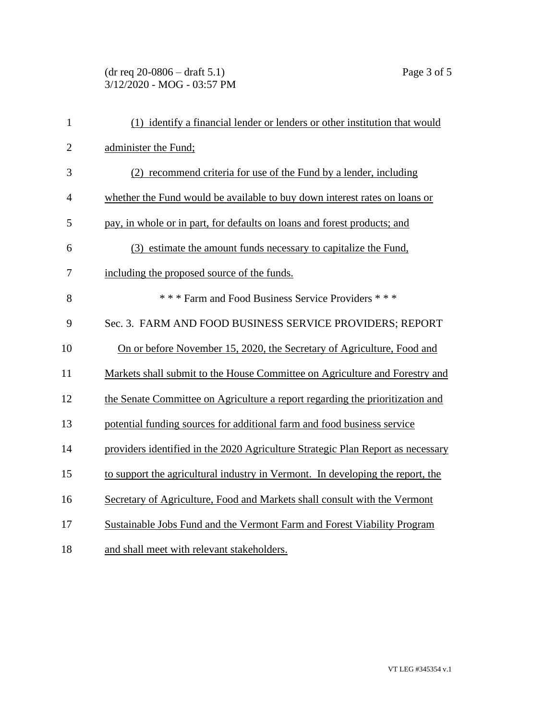## (dr req 20-0806 – draft 5.1) Page 3 of 5 3/12/2020 - MOG - 03:57 PM

| $\mathbf{1}$   | (1) identify a financial lender or lenders or other institution that would      |
|----------------|---------------------------------------------------------------------------------|
| $\overline{2}$ | administer the Fund;                                                            |
| 3              | (2) recommend criteria for use of the Fund by a lender, including               |
| $\overline{4}$ | whether the Fund would be available to buy down interest rates on loans or      |
| 5              | pay, in whole or in part, for defaults on loans and forest products; and        |
| 6              | (3) estimate the amount funds necessary to capitalize the Fund,                 |
| 7              | including the proposed source of the funds.                                     |
| 8              | *** Farm and Food Business Service Providers ***                                |
| 9              | Sec. 3. FARM AND FOOD BUSINESS SERVICE PROVIDERS; REPORT                        |
| 10             | On or before November 15, 2020, the Secretary of Agriculture, Food and          |
| 11             | Markets shall submit to the House Committee on Agriculture and Forestry and     |
| 12             | the Senate Committee on Agriculture a report regarding the prioritization and   |
| 13             | potential funding sources for additional farm and food business service         |
| 14             | providers identified in the 2020 Agriculture Strategic Plan Report as necessary |
| 15             | to support the agricultural industry in Vermont. In developing the report, the  |
| 16             | Secretary of Agriculture, Food and Markets shall consult with the Vermont       |
| 17             | Sustainable Jobs Fund and the Vermont Farm and Forest Viability Program         |
| 18             | and shall meet with relevant stakeholders.                                      |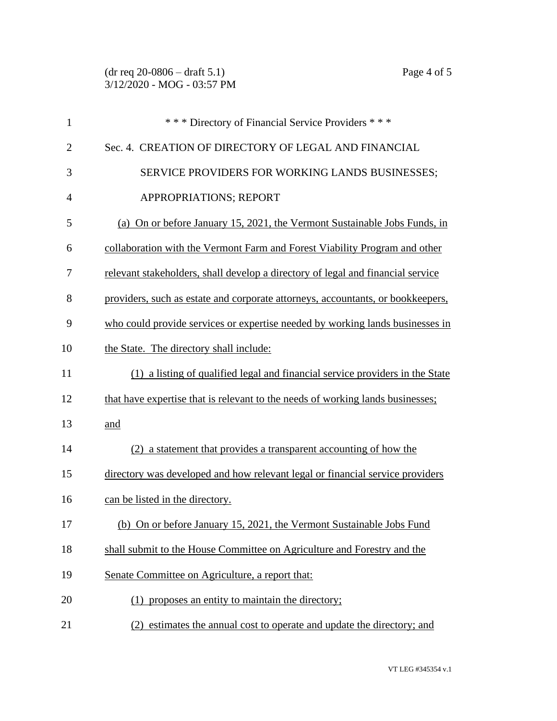| $\mathbf{1}$   | *** Directory of Financial Service Providers ***                                |
|----------------|---------------------------------------------------------------------------------|
| $\overline{2}$ | Sec. 4. CREATION OF DIRECTORY OF LEGAL AND FINANCIAL                            |
| 3              | SERVICE PROVIDERS FOR WORKING LANDS BUSINESSES;                                 |
| $\overline{4}$ | APPROPRIATIONS; REPORT                                                          |
| 5              | (a) On or before January 15, 2021, the Vermont Sustainable Jobs Funds, in       |
| 6              | collaboration with the Vermont Farm and Forest Viability Program and other      |
| 7              | relevant stakeholders, shall develop a directory of legal and financial service |
| 8              | providers, such as estate and corporate attorneys, accountants, or bookkeepers, |
| 9              | who could provide services or expertise needed by working lands businesses in   |
| 10             | the State. The directory shall include:                                         |
| 11             | (1) a listing of qualified legal and financial service providers in the State   |
| 12             | that have expertise that is relevant to the needs of working lands businesses;  |
| 13             | and                                                                             |
| 14             | (2) a statement that provides a transparent accounting of how the               |
| 15             | directory was developed and how relevant legal or financial service providers   |
| 16             | can be listed in the directory.                                                 |
| 17             | (b) On or before January 15, 2021, the Vermont Sustainable Jobs Fund            |
| 18             | shall submit to the House Committee on Agriculture and Forestry and the         |
| 19             | Senate Committee on Agriculture, a report that:                                 |
| 20             | (1) proposes an entity to maintain the directory;                               |
| 21             | estimates the annual cost to operate and update the directory; and<br>(2)       |